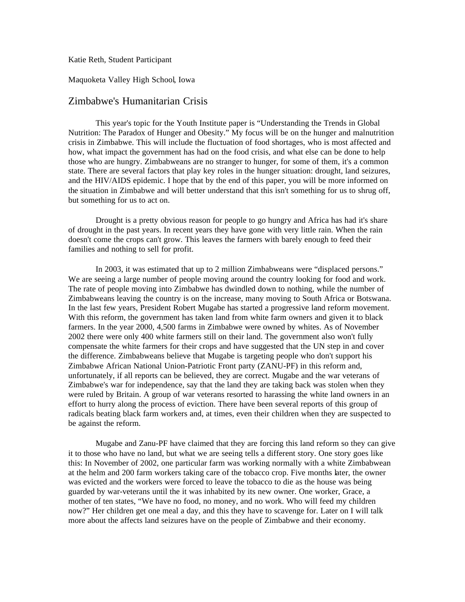Katie Reth, Student Participant

Maquoketa Valley High School, Iowa

## Zimbabwe's Humanitarian Crisis

This year's topic for the Youth Institute paper is "Understanding the Trends in Global Nutrition: The Paradox of Hunger and Obesity." My focus will be on the hunger and malnutrition crisis in Zimbabwe. This will include the fluctuation of food shortages, who is most affected and how, what impact the government has had on the food crisis, and what else can be done to help those who are hungry. Zimbabweans are no stranger to hunger, for some of them, it's a common state. There are several factors that play key roles in the hunger situation: drought, land seizures, and the HIV/AIDS epidemic. I hope that by the end of this paper, you will be more informed on the situation in Zimbabwe and will better understand that this isn't something for us to shrug off, but something for us to act on.

Drought is a pretty obvious reason for people to go hungry and Africa has had it's share of drought in the past years. In recent years they have gone with very little rain. When the rain doesn't come the crops can't grow. This leaves the farmers with barely enough to feed their families and nothing to sell for profit.

In 2003, it was estimated that up to 2 million Zimbabweans were "displaced persons." We are seeing a large number of people moving around the country looking for food and work. The rate of people moving into Zimbabwe has dwindled down to nothing, while the number of Zimbabweans leaving the country is on the increase, many moving to South Africa or Botswana. In the last few years, President Robert Mugabe has started a progressive land reform movement. With this reform, the government has taken land from white farm owners and given it to black farmers. In the year 2000, 4,500 farms in Zimbabwe were owned by whites. As of November 2002 there were only 400 white farmers still on their land. The government also won't fully compensate the white farmers for their crops and have suggested that the UN step in and cover the difference. Zimbabweans believe that Mugabe is targeting people who don't support his Zimbabwe African National Union-Patriotic Front party (ZANU-PF) in this reform and, unfortunately, if all reports can be believed, they are correct. Mugabe and the war veterans of Zimbabwe's war for independence, say that the land they are taking back was stolen when they were ruled by Britain. A group of war veterans resorted to harassing the white land owners in an effort to hurry along the process of eviction. There have been several reports of this group of radicals beating black farm workers and, at times, even their children when they are suspected to be against the reform.

Mugabe and Zanu-PF have claimed that they are forcing this land reform so they can give it to those who have no land, but what we are seeing tells a different story. One story goes like this: In November of 2002, one particular farm was working normally with a white Zimbabwean at the helm and 200 farm workers taking care of the tobacco crop. Five months later, the owner was evicted and the workers were forced to leave the tobacco to die as the house was being guarded by war-veterans until the it was inhabited by its new owner. One worker, Grace, a mother of ten states, "We have no food, no money, and no work. Who will feed my children now?" Her children get one meal a day, and this they have to scavenge for. Later on I will talk more about the affects land seizures have on the people of Zimbabwe and their economy.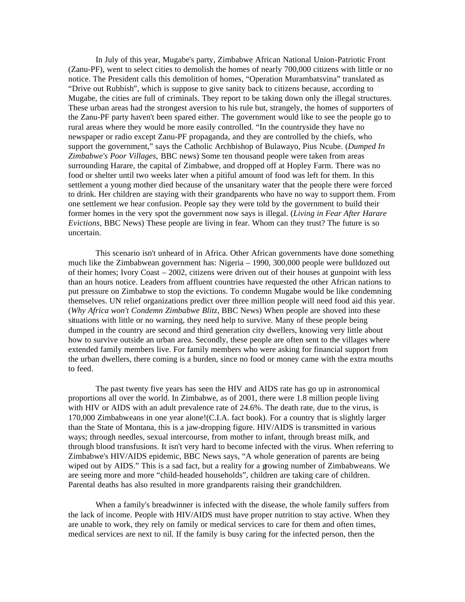In July of this year, Mugabe's party, Zimbabwe African National Union-Patriotic Front (Zanu-PF), went to select cities to demolish the homes of nearly 700,000 citizens with little or no notice. The President calls this demolition of homes, "Operation Murambatsvina" translated as "Drive out Rubbish", which is suppose to give sanity back to citizens because, according to Mugabe, the cities are full of criminals. They report to be taking down only the illegal structures. These urban areas had the strongest aversion to his rule but, strangely, the homes of supporters of the Zanu-PF party haven't been spared either. The government would like to see the people go to rural areas where they would be more easily controlled. "In the countryside they have no newspaper or radio except Zanu-PF propaganda, and they are controlled by the chiefs, who support the government," says the Catholic Archbishop of Bulawayo, Pius Ncube. (*Dumped In Zimbabwe's Poor Villages,* BBC news) Some ten thousand people were taken from areas surrounding Harare, the capital of Zimbabwe, and dropped off at Hopley Farm. There was no food or shelter until two weeks later when a pitiful amount of food was left for them. In this settlement a young mother died because of the unsanitary water that the people there were forced to drink. Her children are staying with their grandparents who have no way to support them. From one settlement we hear confusion. People say they were told by the government to build their former homes in the very spot the government now says is illegal. (*Living in Fear After Harare Evictions*, BBC News) These people are living in fear. Whom can they trust? The future is so uncertain.

This scenario isn't unheard of in Africa. Other African governments have done something much like the Zimbabwean government has: Nigeria – 1990, 300,000 people were bulldozed out of their homes; Ivory Coast – 2002, citizens were driven out of their houses at gunpoint with less than an hours notice. Leaders from affluent countries have requested the other African nations to put pressure on Zimbabwe to stop the evictions. To condemn Mugabe would be like condemning themselves. UN relief organizations predict over three million people will need food aid this year. (*Why Africa won't Condemn Zimbabwe Blitz*, BBC News) When people are shoved into these situations with little or no warning, they need help to survive. Many of these people being dumped in the country are second and third generation city dwellers, knowing very little about how to survive outside an urban area. Secondly, these people are often sent to the villages where extended family members live. For family members who were asking for financial support from the urban dwellers, there coming is a burden, since no food or money came with the extra mouths to feed.

The past twenty five years has seen the HIV and AIDS rate has go up in astronomical proportions all over the world. In Zimbabwe, as of 2001, there were 1.8 million people living with HIV or AIDS with an adult prevalence rate of 24.6%. The death rate, due to the virus, is 170,000 Zimbabweans in one year alone!(C.I.A. fact book). For a country that is slightly larger than the State of Montana, this is a jaw-dropping figure. HIV/AIDS is transmitted in various ways; through needles, sexual intercourse, from mother to infant, through breast milk, and through blood transfusions. It isn't very hard to become infected with the virus. When referring to Zimbabwe's HIV/AIDS epidemic, BBC News says, "A whole generation of parents are being wiped out by AIDS." This is a sad fact, but a reality for a growing number of Zimbabweans. We are seeing more and more "child-headed households", children are taking care of children. Parental deaths has also resulted in more grandparents raising their grandchildren.

When a family's breadwinner is infected with the disease, the whole family suffers from the lack of income. People with HIV/AIDS must have proper nutrition to stay active. When they are unable to work, they rely on family or medical services to care for them and often times, medical services are next to nil. If the family is busy caring for the infected person, then the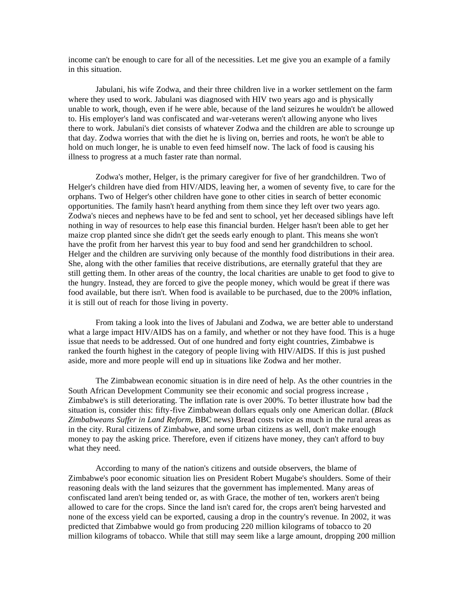income can't be enough to care for all of the necessities. Let me give you an example of a family in this situation.

Jabulani, his wife Zodwa, and their three children live in a worker settlement on the farm where they used to work. Jabulani was diagnosed with HIV two years ago and is physically unable to work, though, even if he were able, because of the land seizures he wouldn't be allowed to. His employer's land was confiscated and war-veterans weren't allowing anyone who lives there to work. Jabulani's diet consists of whatever Zodwa and the children are able to scrounge up that day. Zodwa worries that with the diet he is living on, berries and roots, he won't be able to hold on much longer, he is unable to even feed himself now. The lack of food is causing his illness to progress at a much faster rate than normal.

Zodwa's mother, Helger, is the primary caregiver for five of her grandchildren. Two of Helger's children have died from HIV/AIDS, leaving her, a women of seventy five, to care for the orphans. Two of Helger's other children have gone to other cities in search of better economic opportunities. The family hasn't heard anything from them since they left over two years ago. Zodwa's nieces and nephews have to be fed and sent to school, yet her deceased siblings have left nothing in way of resources to help ease this financial burden. Helger hasn't been able to get her maize crop planted since she didn't get the seeds early enough to plant. This means she won't have the profit from her harvest this year to buy food and send her grandchildren to school. Helger and the children are surviving only because of the monthly food distributions in their area. She, along with the other families that receive distributions, are eternally grateful that they are still getting them. In other areas of the country, the local charities are unable to get food to give to the hungry. Instead, they are forced to give the people money, which would be great if there was food available, but there isn't. When food is available to be purchased, due to the 200% inflation, it is still out of reach for those living in poverty.

From taking a look into the lives of Jabulani and Zodwa, we are better able to understand what a large impact HIV/AIDS has on a family, and whether or not they have food. This is a huge issue that needs to be addressed. Out of one hundred and forty eight countries, Zimbabwe is ranked the fourth highest in the category of people living with HIV/AIDS. If this is just pushed aside, more and more people will end up in situations like Zodwa and her mother.

The Zimbabwean economic situation is in dire need of help. As the other countries in the South African Development Community see their economic and social progress increase , Zimbabwe's is still deteriorating. The inflation rate is over 200%. To better illustrate how bad the situation is, consider this: fifty-five Zimbabwean dollars equals only one American dollar. (*Black Zimbabweans Suffer in Land Reform*, BBC news) Bread costs twice as much in the rural areas as in the city. Rural citizens of Zimbabwe, and some urban citizens as well, don't make enough money to pay the asking price. Therefore, even if citizens have money, they can't afford to buy what they need.

According to many of the nation's citizens and outside observers, the blame of Zimbabwe's poor economic situation lies on President Robert Mugabe's shoulders. Some of their reasoning deals with the land seizures that the government has implemented. Many areas of confiscated land aren't being tended or, as with Grace, the mother of ten, workers aren't being allowed to care for the crops. Since the land isn't cared for, the crops aren't being harvested and none of the excess yield can be exported, causing a drop in the country's revenue. In 2002, it was predicted that Zimbabwe would go from producing 220 million kilograms of tobacco to 20 million kilograms of tobacco. While that still may seem like a large amount, dropping 200 million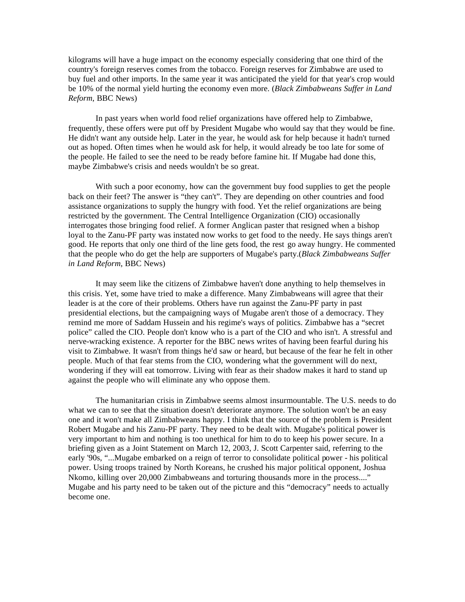kilograms will have a huge impact on the economy especially considering that one third of the country's foreign reserves comes from the tobacco. Foreign reserves for Zimbabwe are used to buy fuel and other imports. In the same year it was anticipated the yield for that year's crop would be 10% of the normal yield hurting the economy even more. (*Black Zimbabweans Suffer in Land Reform*, BBC News)

In past years when world food relief organizations have offered help to Zimbabwe, frequently, these offers were put off by President Mugabe who would say that they would be fine. He didn't want any outside help. Later in the year, he would ask for help because it hadn't turned out as hoped. Often times when he would ask for help, it would already be too late for some of the people. He failed to see the need to be ready before famine hit. If Mugabe had done this, maybe Zimbabwe's crisis and needs wouldn't be so great.

With such a poor economy, how can the government buy food supplies to get the people back on their feet? The answer is "they can't". They are depending on other countries and food assistance organizations to supply the hungry with food. Yet the relief organizations are being restricted by the government. The Central Intelligence Organization (CIO) occasionally interrogates those bringing food relief. A former Anglican paster that resigned when a bishop loyal to the Zanu-PF party was instated now works to get food to the needy. He says things aren't good. He reports that only one third of the line gets food, the rest go away hungry. He commented that the people who do get the help are supporters of Mugabe's party.(*Black Zimbabweans Suffer in Land Reform*, BBC News)

It may seem like the citizens of Zimbabwe haven't done anything to help themselves in this crisis. Yet, some have tried to make a difference. Many Zimbabweans will agree that their leader is at the core of their problems. Others have run against the Zanu-PF party in past presidential elections, but the campaigning ways of Mugabe aren't those of a democracy. They remind me more of Saddam Hussein and his regime's ways of politics. Zimbabwe has a "secret police" called the CIO. People don't know who is a part of the CIO and who isn't. A stressful and nerve-wracking existence. A reporter for the BBC news writes of having been fearful during his visit to Zimbabwe. It wasn't from things he'd saw or heard, but because of the fear he felt in other people. Much of that fear stems from the CIO, wondering what the government will do next, wondering if they will eat tomorrow. Living with fear as their shadow makes it hard to stand up against the people who will eliminate any who oppose them.

The humanitarian crisis in Zimbabwe seems almost insurmountable. The U.S. needs to do what we can to see that the situation doesn't deteriorate anymore. The solution won't be an easy one and it won't make all Zimbabweans happy. I think that the source of the problem is President Robert Mugabe and his Zanu-PF party. They need to be dealt with. Mugabe's political power is very important to him and nothing is too unethical for him to do to keep his power secure. In a briefing given as a Joint Statement on March 12, 2003, J. Scott Carpenter said, referring to the early '90s, "...Mugabe embarked on a reign of terror to consolidate political power - his political power. Using troops trained by North Koreans, he crushed his major political opponent, Joshua Nkomo, killing over 20,000 Zimbabweans and torturing thousands more in the process...." Mugabe and his party need to be taken out of the picture and this "democracy" needs to actually become one.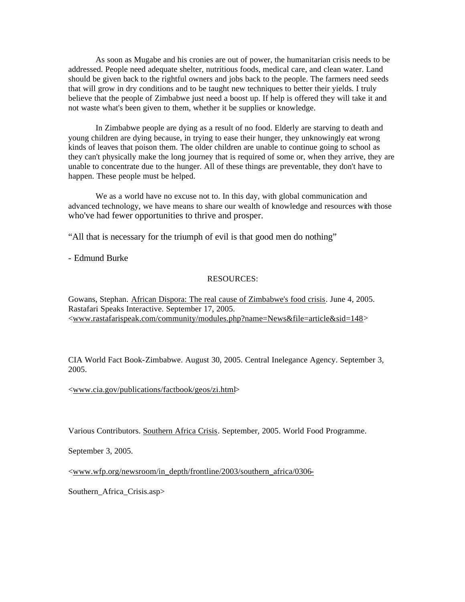As soon as Mugabe and his cronies are out of power, the humanitarian crisis needs to be addressed. People need adequate shelter, nutritious foods, medical care, and clean water. Land should be given back to the rightful owners and jobs back to the people. The farmers need seeds that will grow in dry conditions and to be taught new techniques to better their yields. I truly believe that the people of Zimbabwe just need a boost up. If help is offered they will take it and not waste what's been given to them, whether it be supplies or knowledge.

In Zimbabwe people are dying as a result of no food. Elderly are starving to death and young children are dying because, in trying to ease their hunger, they unknowingly eat wrong kinds of leaves that poison them. The older children are unable to continue going to school as they can't physically make the long journey that is required of some or, when they arrive, they are unable to concentrate due to the hunger. All of these things are preventable, they don't have to happen. These people must be helped.

We as a world have no excuse not to. In this day, with global communication and advanced technology, we have means to share our wealth of knowledge and resources with those who've had fewer opportunities to thrive and prosper.

"All that is necessary for the triumph of evil is that good men do nothing"

- Edmund Burke

## RESOURCES:

Gowans, Stephan. African Dispora: The real cause of Zimbabwe's food crisis. June 4, 2005. Rastafari Speaks Interactive. September 17, 2005. <www.rastafarispeak.com/community/modules.php?name=News&file=article&sid=148>

CIA World Fact Book-Zimbabwe. August 30, 2005. Central Inelegance Agency. September 3, 2005.

<www.cia.gov/publications/factbook/geos/zi.html>

Various Contributors. Southern Africa Crisis. September, 2005. World Food Programme.

September 3, 2005.

<www.wfp.org/newsroom/in\_depth/frontline/2003/southern\_africa/0306-

Southern Africa Crisis.asp>